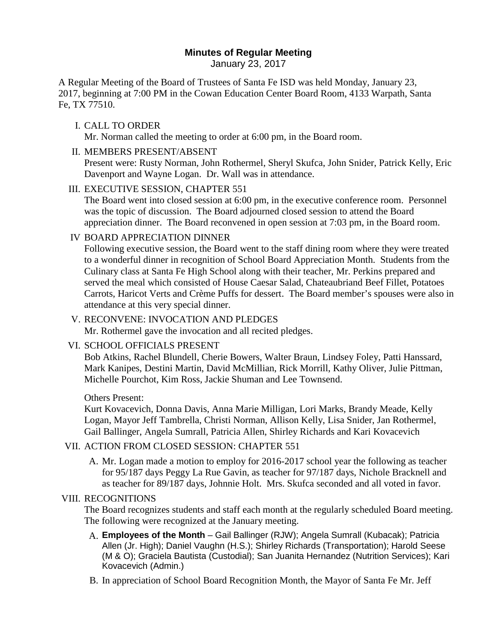# **Minutes of Regular Meeting**

January 23, 2017

A Regular Meeting of the Board of Trustees of Santa Fe ISD was held Monday, January 23, 2017, beginning at 7:00 PM in the Cowan Education Center Board Room, 4133 Warpath, Santa Fe, TX 77510.

### I. CALL TO ORDER

Mr. Norman called the meeting to order at 6:00 pm, in the Board room.

II. MEMBERS PRESENT/ABSENT

Present were: Rusty Norman, John Rothermel, Sheryl Skufca, John Snider, Patrick Kelly, Eric Davenport and Wayne Logan. Dr. Wall was in attendance.

III. EXECUTIVE SESSION, CHAPTER 551

The Board went into closed session at 6:00 pm, in the executive conference room. Personnel was the topic of discussion. The Board adjourned closed session to attend the Board appreciation dinner. The Board reconvened in open session at 7:03 pm, in the Board room.

#### IV BOARD APPRECIATION DINNER

Following executive session, the Board went to the staff dining room where they were treated to a wonderful dinner in recognition of School Board Appreciation Month. Students from the Culinary class at Santa Fe High School along with their teacher, Mr. Perkins prepared and served the meal which consisted of House Caesar Salad, Chateaubriand Beef Fillet, Potatoes Carrots, Haricot Verts and Crème Puffs for dessert. The Board member's spouses were also in attendance at this very special dinner.

V. RECONVENE: INVOCATION AND PLEDGES Mr. Rothermel gave the invocation and all recited pledges.

# VI. SCHOOL OFFICIALS PRESENT

Bob Atkins, Rachel Blundell, Cherie Bowers, Walter Braun, Lindsey Foley, Patti Hanssard, Mark Kanipes, Destini Martin, David McMillian, Rick Morrill, Kathy Oliver, Julie Pittman, Michelle Pourchot, Kim Ross, Jackie Shuman and Lee Townsend.

#### Others Present:

Kurt Kovacevich, Donna Davis, Anna Marie Milligan, Lori Marks, Brandy Meade, Kelly Logan, Mayor Jeff Tambrella, Christi Norman, Allison Kelly, Lisa Snider, Jan Rothermel, Gail Ballinger, Angela Sumrall, Patricia Allen, Shirley Richards and Kari Kovacevich

# VII. ACTION FROM CLOSED SESSION: CHAPTER 551

A. Mr. Logan made a motion to employ for 2016-2017 school year the following as teacher for 95/187 days Peggy La Rue Gavin, as teacher for 97/187 days, Nichole Bracknell and as teacher for 89/187 days, Johnnie Holt. Mrs. Skufca seconded and all voted in favor.

#### VIII. RECOGNITIONS

The Board recognizes students and staff each month at the regularly scheduled Board meeting. The following were recognized at the January meeting.

- A. **Employees of the Month** Gail Ballinger (RJW); Angela Sumrall (Kubacak); Patricia Allen (Jr. High); Daniel Vaughn (H.S.); Shirley Richards (Transportation); Harold Seese (M & O); Graciela Bautista (Custodial); San Juanita Hernandez (Nutrition Services); Kari Kovacevich (Admin.)
- B. In appreciation of School Board Recognition Month, the Mayor of Santa Fe Mr. Jeff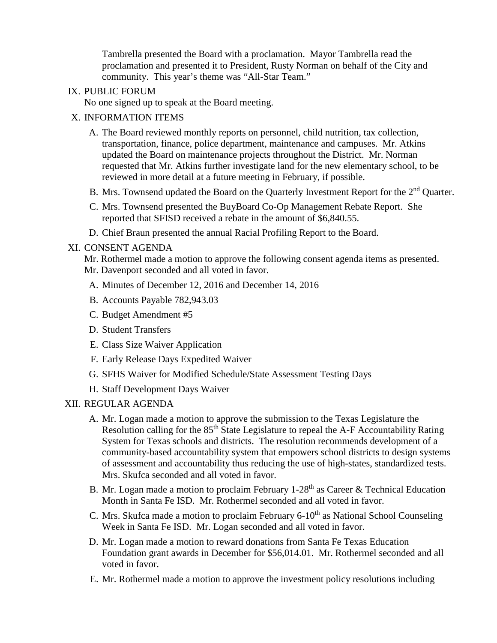Tambrella presented the Board with a proclamation. Mayor Tambrella read the proclamation and presented it to President, Rusty Norman on behalf of the City and community. This year's theme was "All-Star Team."

#### IX. PUBLIC FORUM

No one signed up to speak at the Board meeting.

### X. INFORMATION ITEMS

- A. The Board reviewed monthly reports on personnel, child nutrition, tax collection, transportation, finance, police department, maintenance and campuses. Mr. Atkins updated the Board on maintenance projects throughout the District. Mr. Norman requested that Mr. Atkins further investigate land for the new elementary school, to be reviewed in more detail at a future meeting in February, if possible.
- B. Mrs. Townsend updated the Board on the Quarterly Investment Report for the  $2<sup>nd</sup>$  Quarter.
- C. Mrs. Townsend presented the BuyBoard Co-Op Management Rebate Report. She reported that SFISD received a rebate in the amount of \$6,840.55.
- D. Chief Braun presented the annual Racial Profiling Report to the Board.

#### XI. CONSENT AGENDA

Mr. Rothermel made a motion to approve the following consent agenda items as presented. Mr. Davenport seconded and all voted in favor.

- A. Minutes of December 12, 2016 and December 14, 2016
- B. Accounts Payable 782,943.03
- C. Budget Amendment #5
- D. Student Transfers
- E. Class Size Waiver Application
- F. Early Release Days Expedited Waiver
- G. SFHS Waiver for Modified Schedule/State Assessment Testing Days
- H. Staff Development Days Waiver

#### XII. REGULAR AGENDA

- A. Mr. Logan made a motion to approve the submission to the Texas Legislature the Resolution calling for the 85<sup>th</sup> State Legislature to repeal the A-F Accountability Rating System for Texas schools and districts. The resolution recommends development of a community-based accountability system that empowers school districts to design systems of assessment and accountability thus reducing the use of high-states, standardized tests. Mrs. Skufca seconded and all voted in favor.
- B. Mr. Logan made a motion to proclaim February  $1-28<sup>th</sup>$  as Career & Technical Education Month in Santa Fe ISD. Mr. Rothermel seconded and all voted in favor.
- C. Mrs. Skufca made a motion to proclaim February  $6\n-10<sup>th</sup>$  as National School Counseling Week in Santa Fe ISD. Mr. Logan seconded and all voted in favor.
- D. Mr. Logan made a motion to reward donations from Santa Fe Texas Education Foundation grant awards in December for \$56,014.01. Mr. Rothermel seconded and all voted in favor.
- E. Mr. Rothermel made a motion to approve the investment policy resolutions including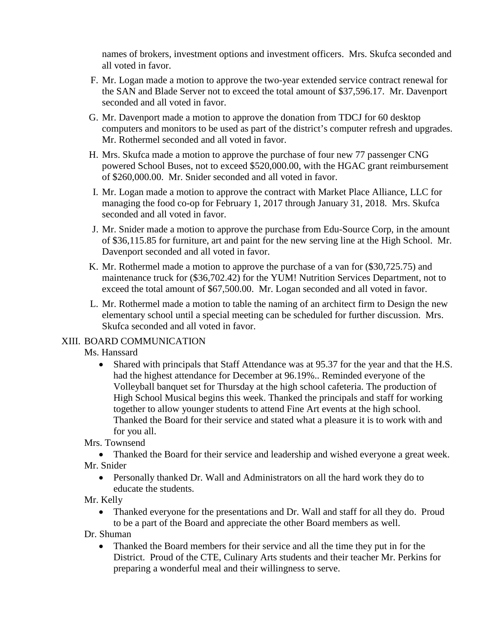names of brokers, investment options and investment officers. Mrs. Skufca seconded and all voted in favor.

- F. Mr. Logan made a motion to approve the two-year extended service contract renewal for the SAN and Blade Server not to exceed the total amount of \$37,596.17. Mr. Davenport seconded and all voted in favor.
- G. Mr. Davenport made a motion to approve the donation from TDCJ for 60 desktop computers and monitors to be used as part of the district's computer refresh and upgrades. Mr. Rothermel seconded and all voted in favor.
- H. Mrs. Skufca made a motion to approve the purchase of four new 77 passenger CNG powered School Buses, not to exceed \$520,000.00, with the HGAC grant reimbursement of \$260,000.00. Mr. Snider seconded and all voted in favor.
- I. Mr. Logan made a motion to approve the contract with Market Place Alliance, LLC for managing the food co-op for February 1, 2017 through January 31, 2018. Mrs. Skufca seconded and all voted in favor.
- J. Mr. Snider made a motion to approve the purchase from Edu-Source Corp, in the amount of \$36,115.85 for furniture, art and paint for the new serving line at the High School. Mr. Davenport seconded and all voted in favor.
- K. Mr. Rothermel made a motion to approve the purchase of a van for (\$30,725.75) and maintenance truck for (\$36,702.42) for the YUM! Nutrition Services Department, not to exceed the total amount of \$67,500.00. Mr. Logan seconded and all voted in favor.
- L. Mr. Rothermel made a motion to table the naming of an architect firm to Design the new elementary school until a special meeting can be scheduled for further discussion. Mrs. Skufca seconded and all voted in favor.

# XIII. BOARD COMMUNICATION

Ms. Hanssard

• Shared with principals that Staff Attendance was at 95.37 for the year and that the H.S. had the highest attendance for December at 96.19%.. Reminded everyone of the Volleyball banquet set for Thursday at the high school cafeteria. The production of High School Musical begins this week. Thanked the principals and staff for working together to allow younger students to attend Fine Art events at the high school. Thanked the Board for their service and stated what a pleasure it is to work with and for you all.

# Mrs. Townsend

• Thanked the Board for their service and leadership and wished everyone a great week. Mr. Snider

• Personally thanked Dr. Wall and Administrators on all the hard work they do to educate the students.

# Mr. Kelly

• Thanked everyone for the presentations and Dr. Wall and staff for all they do. Proud to be a part of the Board and appreciate the other Board members as well.

Dr. Shuman

• Thanked the Board members for their service and all the time they put in for the District. Proud of the CTE, Culinary Arts students and their teacher Mr. Perkins for preparing a wonderful meal and their willingness to serve.